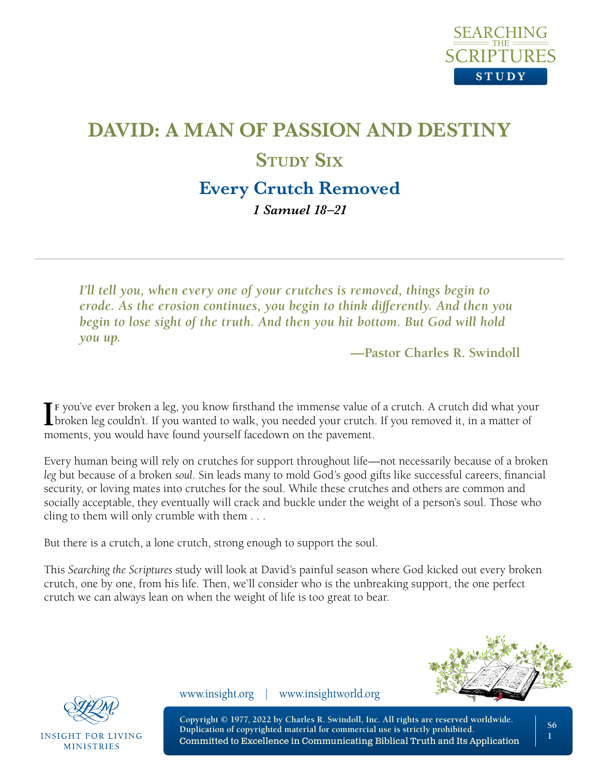

# **DAVID: A MAN OF PASSION AND DESTINY STUDY SIX Every Crutch Removed**

*1 Samuel 18–21* 

*I'll tell you, when every one of your crutches is removed, things begin to erode. As the erosion continues, you begin to think differently. And then you begin to lose sight of the truth. And then you hit bottom. But God will hold you up.*

**—Pastor Charles R. Swindoll**

If you've ever broken a leg, you know firsthand the immense value of a crutch. A crutch did what your broken leg couldn't. If you wanted to walk, you needed your crutch. If you removed it, in a matter of broken leg couldn't. If you wanted to walk, you needed your crutch. If you removed it, in a matter of moments, you would have found yourself facedown on the pavement.

Every human being will rely on crutches for support throughout life—not necessarily because of a broken *leg* but because of a broken *soul*. Sin leads many to mold God's good gifts like successful careers, financial security, or loving mates into crutches for the soul. While these crutches and others are common and socially acceptable, they eventually will crack and buckle under the weight of a person's soul. Those who cling to them will only crumble with them . . .

But there is a crutch, a lone crutch, strong enough to support the soul.

This *Searching the Scriptures* study will look at David's painful season where God kicked out every broken crutch, one by one, from his life. Then, we'll consider who is the unbreaking support, the one perfect crutch we can always lean on when the weight of life is too great to bear.





**INSIGHT FOR LIVING MINISTRIES** 

www.insight.org | www.insightworld.org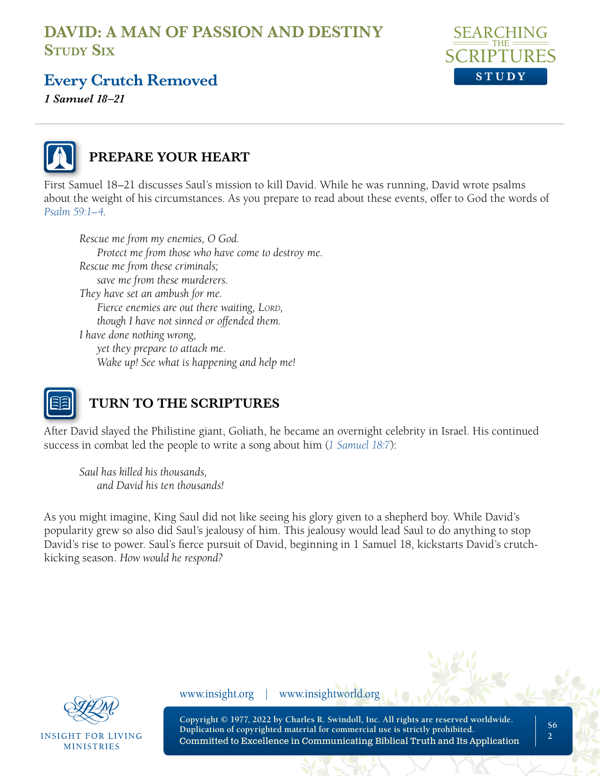

# **Every Crutch Removed**

*1 Samuel 18–21* 



### **PREPARE YOUR HEART**

First Samuel 18–21 discusses Saul's mission to kill David. While he was running, David wrote psalms about the weight of his circumstances. As you prepare to read about these events, offer to God the words of *[Psalm 59:1–4](https://www.biblegateway.com/passage/?search=Psalm+59&version=NLT;NASB1995)*.

*Rescue me from my enemies, O God. Protect me from those who have come to destroy me. Rescue me from these criminals; save me from these murderers. They have set an ambush for me. Fierce enemies are out there waiting, Lord, though I have not sinned or offended them. I have done nothing wrong, yet they prepare to attack me. Wake up! See what is happening and help me!* 



### **TURN TO THE SCRIPTURES**

After David slayed the Philistine giant, Goliath, he became an overnight celebrity in Israel. His continued success in combat led the people to write a song about him (*[1 Samuel 18:7](https://www.biblegateway.com/passage/?search=1+Samuel+18%3A7&version=NLT;NASB1995)*):

*Saul has killed his thousands, and David his ten thousands!*

As you might imagine, King Saul did not like seeing his glory given to a shepherd boy. While David's popularity grew so also did Saul's jealousy of him. This jealousy would lead Saul to do anything to stop David's rise to power. Saul's fierce pursuit of David, beginning in 1 Samuel 18, kickstarts David's crutchkicking season. *How would he respond?*



**INSIGHT FOR LIVING MINISTRIES** 

www.insight.org | www.insightworld.org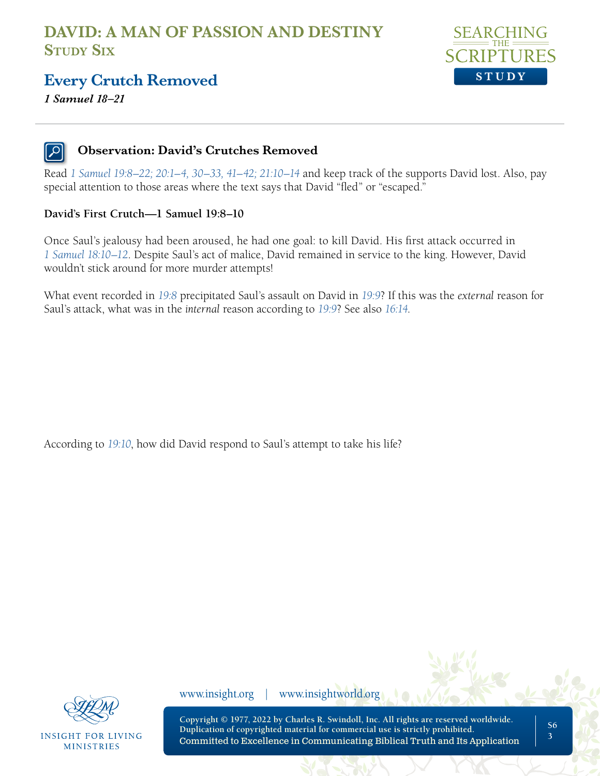

### **Every Crutch Removed**

*1 Samuel 18–21* 

#### **Observation: David's Crutches Removed**

Read *[1 Samuel 19:8–22; 20:1–4, 30–33, 41–42; 21:10–14](https://www.biblegateway.com/passage/?search=1+Samuel+19%3A8%E2%80%9322%3B+20%3A1%E2%80%934%2C+30%E2%80%9333%2C+41%E2%80%9342%3B+21%3A10%E2%80%9314&version=NLT;NASB1995)* and keep track of the supports David lost. Also, pay special attention to those areas where the text says that David "fled" or "escaped."

#### **David's First Crutch—1 Samuel 19:8–10**

Once Saul's jealousy had been aroused, he had one goal: to kill David. His first attack occurred in *[1 Samuel 18:10–12](https://www.biblegateway.com/passage/?search=1+Samuel+18%3A10%E2%80%9312&version=NLT;NASB1995)*. Despite Saul's act of malice, David remained in service to the king. However, David wouldn't stick around for more murder attempts!

What event recorded in *[19:8](https://www.biblegateway.com/passage/?search=1+Samuel+19%3A8&version=NLT;NASB1995)* precipitated Saul's assault on David in *[19:9](https://www.biblegateway.com/passage/?search=1+Samuel+19%3A9&version=NLT;NASB1995)*? If this was the *external* reason for Saul's attack, what was in the *internal* reason according to *[19:9](https://www.biblegateway.com/passage/?search=1+Samuel+19%3A9&version=NLT;NASB1995)*? See also *[16:14](https://www.biblegateway.com/passage/?search=1+Samuel+16%3A14&version=NLT;NASB1995)*.

According to *[19:10](https://www.biblegateway.com/passage/?search=1+Samuel+19%3A10&version=NLT;NASB1995)*, how did David respond to Saul's attempt to take his life?



**INSIGHT FOR LIVING MINISTRIES** 

www.insight.org | www.insightworld.org

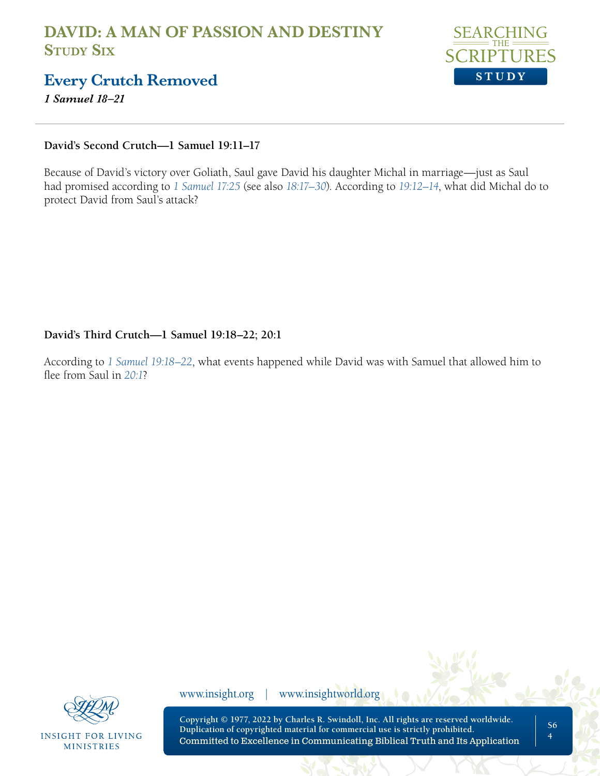

### **Every Crutch Removed**

*1 Samuel 18–21* 

#### **David's Second Crutch—1 Samuel 19:11–17**

Because of David's victory over Goliath, Saul gave David his daughter Michal in marriage—just as Saul had promised according to *[1 Samuel 17:25](https://www.biblegateway.com/passage/?search=1+Samuel+17%3A25+&version=NLT;NASB1995)* (see also *[18:17–30](https://www.biblegateway.com/passage/?search=1+Samuel+18%3A17%E2%80%9330&version=NLT;NASB1995)*). According to *[19:12–14](https://www.biblegateway.com/passage/?search=1+Samuel+19%3A12%E2%80%9314&version=NLT;NASB1995)*, what did Michal do to protect David from Saul's attack?

#### **David's Third Crutch—1 Samuel 19:18–22; 20:1**

According to *[1 Samuel 19:18–22](https://www.biblegateway.com/passage/?search=1+Samuel+19%3A18%E2%80%9322&version=NLT;NASB1995)*, what events happened while David was with Samuel that allowed him to flee from Saul in *[20:1](https://www.biblegateway.com/passage/?search=1+Samuel+20%3A1&version=NLT;NASB1995)*?



**INSIGHT FOR LIVING MINISTRIES** 

www.insight.org | www.insightworld.org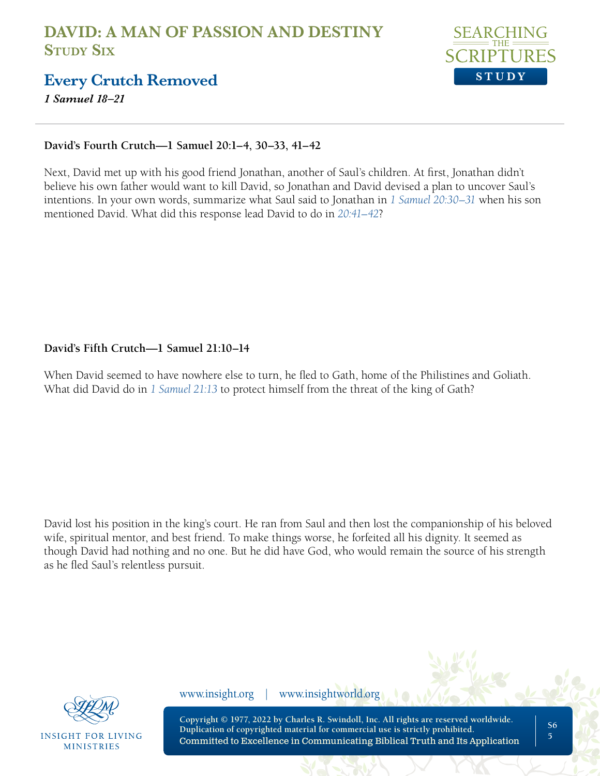

#### **Every Crutch Removed**

*1 Samuel 18–21* 

#### **David's Fourth Crutch—1 Samuel 20:1–4, 30–33, 41–42**

Next, David met up with his good friend Jonathan, another of Saul's children. At first, Jonathan didn't believe his own father would want to kill David, so Jonathan and David devised a plan to uncover Saul's intentions. In your own words, summarize what Saul said to Jonathan in *[1 Samuel 20:30–31](https://www.biblegateway.com/passage/?search=1+Samuel+20%3A30%E2%80%9331+&version=NLT;NASB1995)* when his son mentioned David. What did this response lead David to do in *[20:41–42](https://www.biblegateway.com/passage/?search=1+Samuel+20%3A41%E2%80%9342&version=NLT;NASB1995)*?

#### **David's Fifth Crutch—1 Samuel 21:10–14**

When David seemed to have nowhere else to turn, he fled to Gath, home of the Philistines and Goliath. What did David do in *[1 Samuel 21:13](https://www.biblegateway.com/passage/?search=1+Samuel+21%3A13+&version=NLT;NASB1995)* to protect himself from the threat of the king of Gath?

David lost his position in the king's court. He ran from Saul and then lost the companionship of his beloved wife, spiritual mentor, and best friend. To make things worse, he forfeited all his dignity. It seemed as though David had nothing and no one. But he did have God, who would remain the source of his strength as he fled Saul's relentless pursuit.



INSIGHT FOR LIVING **MINISTRIES** 

www.insight.org | www.insightworld.org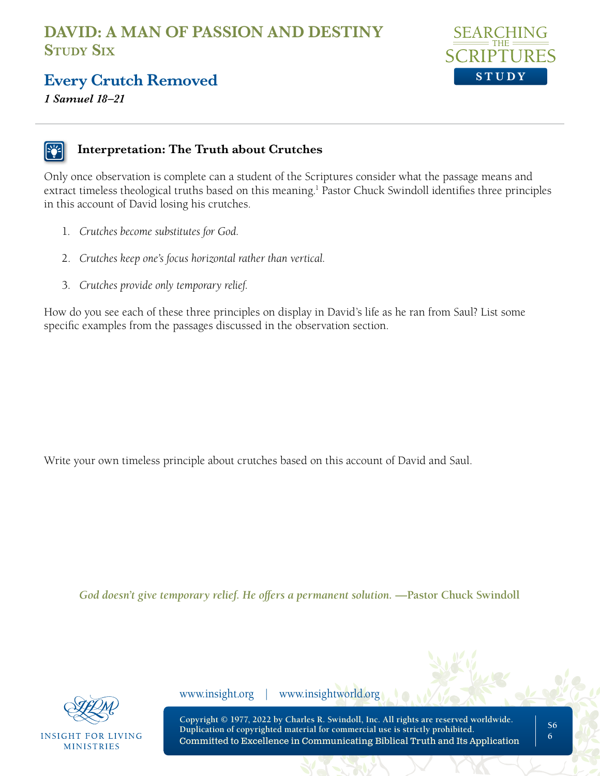

### **Every Crutch Removed**

*1 Samuel 18–21* 

#### **Interpretation: The Truth about Crutches**

Only once observation is complete can a student of the Scriptures consider what the passage means and extract timeless theological truths based on this meaning.<sup>1</sup> Pastor Chuck Swindoll identifies three principles in this account of David losing his crutches.

- 1. *Crutches become substitutes for God.*
- 2. *Crutches keep one's focus horizontal rather than vertical.*
- 3. *Crutches provide only temporary relief.*

How do you see each of these three principles on display in David's life as he ran from Saul? List some specific examples from the passages discussed in the observation section.

Write your own timeless principle about crutches based on this account of David and Saul.

God doesn't give temporary relief. He offers a permanent solution. **—Pastor Chuck Swindoll** 



**INSIGHT FOR LIVING MINISTRIES** 

www.insight.org | www.insightworld.org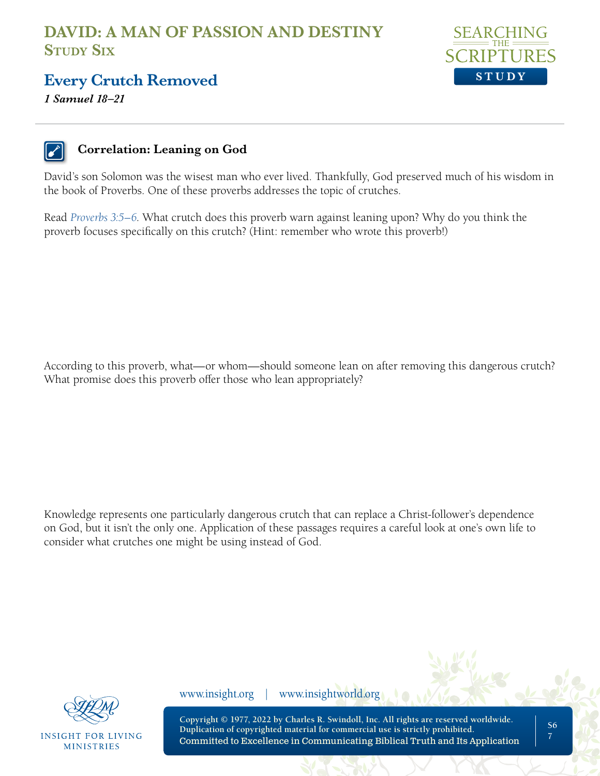

### **Every Crutch Removed**

*1 Samuel 18–21* 

#### **Correlation: Leaning on God**

David's son Solomon was the wisest man who ever lived. Thankfully, God preserved much of his wisdom in the book of Proverbs. One of these proverbs addresses the topic of crutches.

Read *[Proverbs 3:5–6](https://www.biblegateway.com/passage/?search=proverbs+3%3A5-6&version=NLT;NASB1995)*. What crutch does this proverb warn against leaning upon? Why do you think the proverb focuses specifically on this crutch? (Hint: remember who wrote this proverb!)

According to this proverb, what—or whom—should someone lean on after removing this dangerous crutch? What promise does this proverb offer those who lean appropriately?

Knowledge represents one particularly dangerous crutch that can replace a Christ-follower's dependence on God, but it isn't the only one. Application of these passages requires a careful look at one's own life to consider what crutches one might be using instead of God.



INSIGHT FOR LIVING **MINISTRIES** 

www.insight.org | www.insightworld.org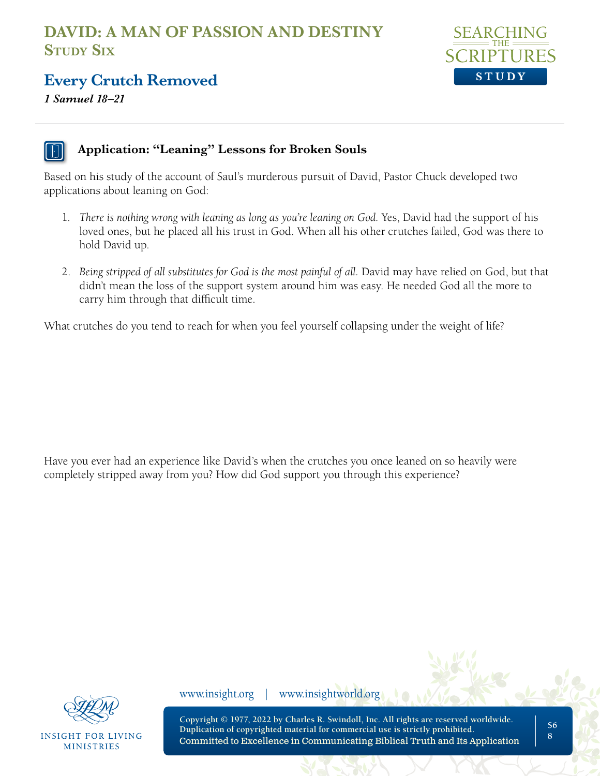

### **Every Crutch Removed**

*1 Samuel 18–21* 

#### **Application: "Leaning" Lessons for Broken Souls**

Based on his study of the account of Saul's murderous pursuit of David, Pastor Chuck developed two applications about leaning on God:

- 1. *There is nothing wrong with leaning as long as you're leaning on God.* Yes, David had the support of his loved ones, but he placed all his trust in God. When all his other crutches failed, God was there to hold David up.
- 2. *Being stripped of all substitutes for God is the most painful of all.* David may have relied on God, but that didn't mean the loss of the support system around him was easy. He needed God all the more to carry him through that difficult time.

What crutches do you tend to reach for when you feel yourself collapsing under the weight of life?

Have you ever had an experience like David's when the crutches you once leaned on so heavily were completely stripped away from you? How did God support you through this experience?



INSIGHT FOR LIVING **MINISTRIES** 

www.insight.org | www.insightworld.org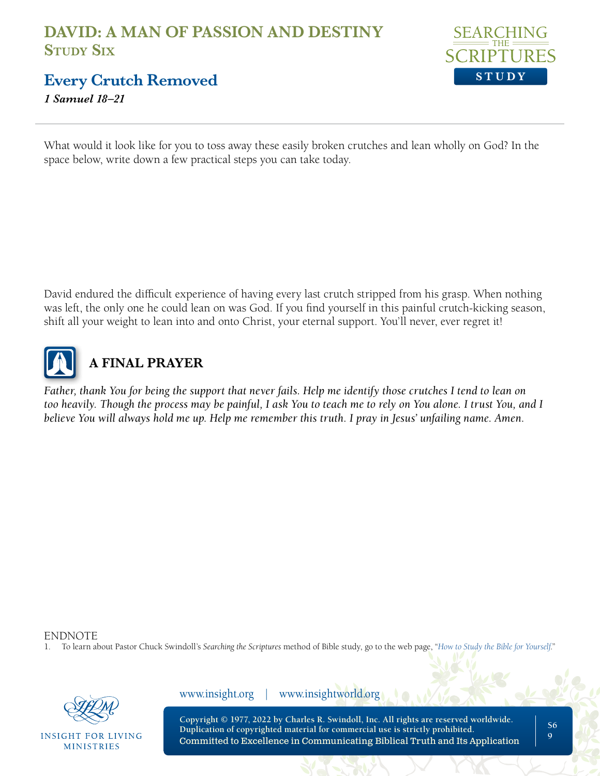

**Every Crutch Removed** *1 Samuel 18–21* 

What would it look like for you to toss away these easily broken crutches and lean wholly on God? In the space below, write down a few practical steps you can take today.

David endured the difficult experience of having every last crutch stripped from his grasp. When nothing was left, the only one he could lean on was God. If you find yourself in this painful crutch-kicking season, shift all your weight to lean into and onto Christ, your eternal support. You'll never, ever regret it!



# **A FINAL PRAYER**

*Father, thank You for being the support that never fails. Help me identify those crutches I tend to lean on*  too heavily. Though the process may be painful, I ask You to teach me to rely on You alone. I trust You, and I *believe You will always hold me up. Help me remember this truth. I pray in Jesus' unfailing name. Amen.*

ENDNOTE

1. To learn about Pastor Chuck Swindoll's *Searching the Scriptures* method of Bible study, go to the web page, "*[How to Study the Bible for Yourself](https://sts.insight.org/)*."



**INSIGHT FOR LIVING MINISTRIES** 

www.insight.org | www.insightworld.org